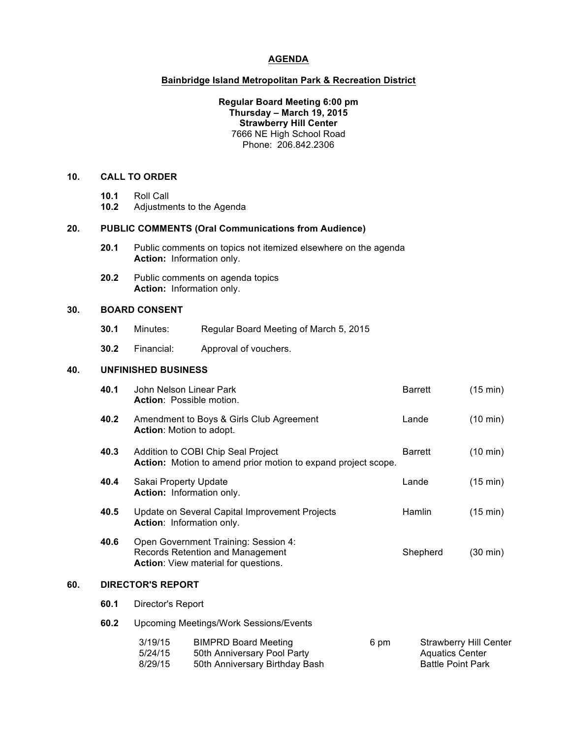### **AGENDA**

#### **Bainbridge Island Metropolitan Park & Recreation District**

#### **Regular Board Meeting 6:00 pm Thursday – March 19, 2015 Strawberry Hill Center** 7666 NE High School Road Phone: 206.842.2306

# **10. CALL TO ORDER**

- **10.1** Roll Call
- **10.2** Adjustments to the Agenda

## **20. PUBLIC COMMENTS (Oral Communications from Audience)**

- **20.1** Public comments on topics not itemized elsewhere on the agenda **Action:** Information only.
- **20.2** Public comments on agenda topics **Action:** Information only.

### **30. BOARD CONSENT**

- **30.1** Minutes: Regular Board Meeting of March 5, 2015
- **30.2** Financial: Approval of vouchers.

## **40. UNFINISHED BUSINESS**

|     | 40.1                                                                                | John Nelson Linear Park<br>Action: Possible motion.                                                                                                              |                                                                                              |  |       | <b>Barrett</b>                                                                      | (15 min)           |
|-----|-------------------------------------------------------------------------------------|------------------------------------------------------------------------------------------------------------------------------------------------------------------|----------------------------------------------------------------------------------------------|--|-------|-------------------------------------------------------------------------------------|--------------------|
|     | 40.2<br>Amendment to Boys & Girls Club Agreement<br><b>Action:</b> Motion to adopt. |                                                                                                                                                                  |                                                                                              |  | Lande | (10 min)                                                                            |                    |
|     | 40.3                                                                                | Addition to COBI Chip Seal Project<br>Action: Motion to amend prior motion to expand project scope.<br>Sakai Property Update<br><b>Action:</b> Information only. |                                                                                              |  |       | <b>Barrett</b>                                                                      | $(10 \text{ min})$ |
|     | 40.4                                                                                |                                                                                                                                                                  |                                                                                              |  |       | Lande                                                                               | $(15 \text{ min})$ |
|     | 40.5                                                                                | Update on Several Capital Improvement Projects<br>Action: Information only.                                                                                      |                                                                                              |  |       | Hamlin                                                                              | (15 min)           |
|     | 40.6                                                                                | Open Government Training: Session 4:<br>Records Retention and Management<br><b>Action:</b> View material for questions.                                          |                                                                                              |  |       | Shepherd                                                                            | $(30 \text{ min})$ |
| 60. | <b>DIRECTOR'S REPORT</b>                                                            |                                                                                                                                                                  |                                                                                              |  |       |                                                                                     |                    |
|     | 60.1                                                                                | Director's Report                                                                                                                                                |                                                                                              |  |       |                                                                                     |                    |
|     | 60.2                                                                                | <b>Upcoming Meetings/Work Sessions/Events</b>                                                                                                                    |                                                                                              |  |       |                                                                                     |                    |
|     |                                                                                     | 3/19/15<br>5/24/15<br>8/29/15                                                                                                                                    | <b>BIMPRD Board Meeting</b><br>50th Anniversary Pool Party<br>50th Anniversary Birthday Bash |  | 6 pm  | <b>Strawberry Hill Center</b><br><b>Aquatics Center</b><br><b>Battle Point Park</b> |                    |